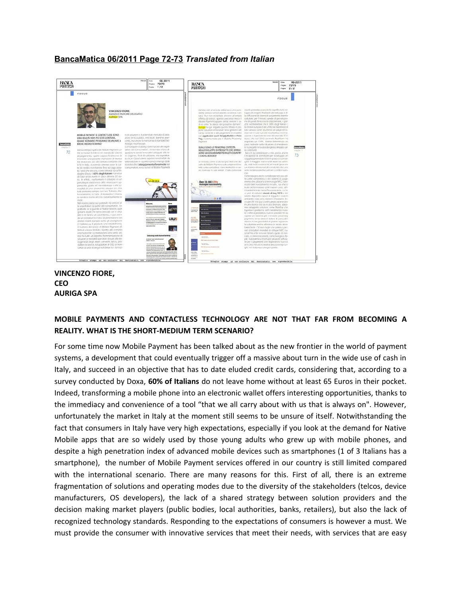## **BancaMatica 06/2011 Page 72-73** *Translated from Italian*



## **VINCENZO FIORE, CEO AURIGA SPA**

## **MOBILE PAYMENTS AND CONTACTLESS TECHNOLOGY ARE NOT THAT FAR FROM BECOMING A REALITY. WHAT IS THE SHORT-MEDIUM TERM SCENARIO?**

For some time now Mobile Payment has been talked about as the new frontier in the world of payment systems, a development that could eventually trigger off a massive about turn in the wide use of cash in Italy, and succeed in an objective that has to date eluded credit cards, considering that, according to a survey conducted by Doxa, **60% of Italians** do not leave home without at least 65 Euros in their pocket. Indeed, transforming a mobile phone into an electronic wallet offers interesting opportunities, thanks to the immediacy and convenience of a tool "that we all carry about with us that is always on". However, unfortunately the market in Italy at the moment still seems to be unsure of itself. Notwithstanding the fact that consumers in Italy have very high expectations, especially if you look at the demand for Native Mobile apps that are so widely used by those young adults who grew up with mobile phones, and despite a high penetration index of advanced mobile devices such as smartphones (1 of 3 Italians has a smartphone), the number of Mobile Payment services offered in our country is still limited compared with the international scenario. There are many reasons for this. First of all, there is an extreme fragmentation of solutions and operating modes due to the diversity of the stakeholders (telcos, device manufacturers, OS developers), the lack of a shared strategy between solution providers and the decision making market players (public bodies, local authorities, banks, retailers), but also the lack of recognized technology standards. Responding to the expectations of consumers is however a must. We must provide the consumer with innovative services that meet their needs, with services that are easy